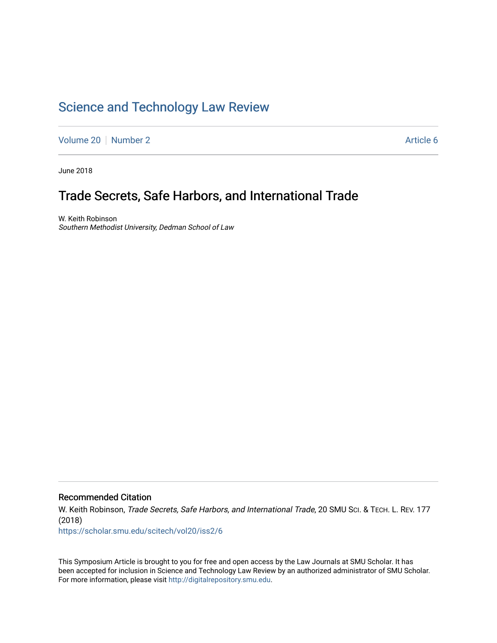## [Science and Technology Law Review](https://scholar.smu.edu/scitech)

[Volume 20](https://scholar.smu.edu/scitech/vol20) [Number 2](https://scholar.smu.edu/scitech/vol20/iss2) Article 6

June 2018

# Trade Secrets, Safe Harbors, and International Trade

W. Keith Robinson Southern Methodist University, Dedman School of Law

Recommended Citation

W. Keith Robinson, Trade Secrets, Safe Harbors, and International Trade, 20 SMU Sci. & TECH. L. REV. 177 (2018)

[https://scholar.smu.edu/scitech/vol20/iss2/6](https://scholar.smu.edu/scitech/vol20/iss2/6?utm_source=scholar.smu.edu%2Fscitech%2Fvol20%2Fiss2%2F6&utm_medium=PDF&utm_campaign=PDFCoverPages)

This Symposium Article is brought to you for free and open access by the Law Journals at SMU Scholar. It has been accepted for inclusion in Science and Technology Law Review by an authorized administrator of SMU Scholar. For more information, please visit [http://digitalrepository.smu.edu](http://digitalrepository.smu.edu/).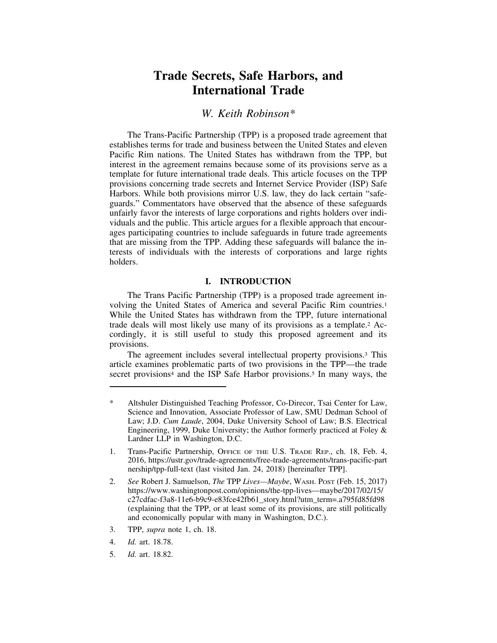## **Trade Secrets, Safe Harbors, and International Trade**

## *W. Keith Robinson\**

The Trans-Pacific Partnership (TPP) is a proposed trade agreement that establishes terms for trade and business between the United States and eleven Pacific Rim nations. The United States has withdrawn from the TPP, but interest in the agreement remains because some of its provisions serve as a template for future international trade deals. This article focuses on the TPP provisions concerning trade secrets and Internet Service Provider (ISP) Safe Harbors. While both provisions mirror U.S. law, they do lack certain "safeguards." Commentators have observed that the absence of these safeguards unfairly favor the interests of large corporations and rights holders over individuals and the public. This article argues for a flexible approach that encourages participating countries to include safeguards in future trade agreements that are missing from the TPP. Adding these safeguards will balance the interests of individuals with the interests of corporations and large rights holders.

## **I. INTRODUCTION**

The Trans Pacific Partnership (TPP) is a proposed trade agreement involving the United States of America and several Pacific Rim countries.1 While the United States has withdrawn from the TPP, future international trade deals will most likely use many of its provisions as a template.2 Accordingly, it is still useful to study this proposed agreement and its provisions.

The agreement includes several intellectual property provisions.3 This article examines problematic parts of two provisions in the TPP—the trade secret provisions<sup>4</sup> and the ISP Safe Harbor provisions.<sup>5</sup> In many ways, the

- 1. Trans-Pacific Partnership, OFFICE OF THE U.S. TRADE REP., ch. 18, Feb. 4, 2016, https://ustr.gov/trade-agreements/free-trade-agreements/trans-pacific-part nership/tpp-full-text (last visited Jan. 24, 2018) [hereinafter TPP].
- 2. *See* Robert J. Samuelson, *The* TPP *Lives—Maybe*, WASH. POST (Feb. 15, 2017) https://www.washingtonpost.com/opinions/the-tpp-lives—maybe/2017/02/15/ c27cdfac-f3a8-11e6-b9c9-e83fce42fb61\_story.html?utm\_term=.a795fd85fd98 (explaining that the TPP, or at least some of its provisions, are still politically and economically popular with many in Washington, D.C.).
- 3. TPP, *supra* note 1, ch. 18.
- 4. *Id.* art. 18.78.
- 5. *Id.* art. 18.82.

Altshuler Distinguished Teaching Professor, Co-Direcor, Tsai Center for Law, Science and Innovation, Associate Professor of Law, SMU Dedman School of Law; J.D. *Cum Laude*, 2004, Duke University School of Law; B.S. Electrical Engineering, 1999, Duke University; the Author formerly practiced at Foley & Lardner LLP in Washington, D.C.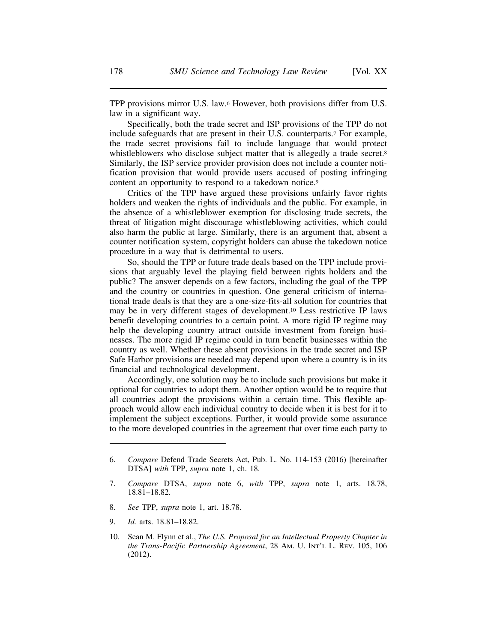TPP provisions mirror U.S. law.6 However, both provisions differ from U.S. law in a significant way.

Specifically, both the trade secret and ISP provisions of the TPP do not include safeguards that are present in their U.S. counterparts.7 For example, the trade secret provisions fail to include language that would protect whistleblowers who disclose subject matter that is allegedly a trade secret.<sup>8</sup> Similarly, the ISP service provider provision does not include a counter notification provision that would provide users accused of posting infringing content an opportunity to respond to a takedown notice.9

Critics of the TPP have argued these provisions unfairly favor rights holders and weaken the rights of individuals and the public. For example, in the absence of a whistleblower exemption for disclosing trade secrets, the threat of litigation might discourage whistleblowing activities, which could also harm the public at large. Similarly, there is an argument that, absent a counter notification system, copyright holders can abuse the takedown notice procedure in a way that is detrimental to users.

So, should the TPP or future trade deals based on the TPP include provisions that arguably level the playing field between rights holders and the public? The answer depends on a few factors, including the goal of the TPP and the country or countries in question. One general criticism of international trade deals is that they are a one-size-fits-all solution for countries that may be in very different stages of development.10 Less restrictive IP laws benefit developing countries to a certain point. A more rigid IP regime may help the developing country attract outside investment from foreign businesses. The more rigid IP regime could in turn benefit businesses within the country as well. Whether these absent provisions in the trade secret and ISP Safe Harbor provisions are needed may depend upon where a country is in its financial and technological development.

Accordingly, one solution may be to include such provisions but make it optional for countries to adopt them. Another option would be to require that all countries adopt the provisions within a certain time. This flexible approach would allow each individual country to decide when it is best for it to implement the subject exceptions. Further, it would provide some assurance to the more developed countries in the agreement that over time each party to

- 8. *See* TPP, *supra* note 1, art. 18.78.
- 9. *Id.* arts. 18.81–18.82.
- 10. Sean M. Flynn et al., *The U.S. Proposal for an Intellectual Property Chapter in the Trans-Pacific Partnership Agreement*, 28 AM. U. INT'L L. REV. 105, 106 (2012).

<sup>6.</sup> *Compare* Defend Trade Secrets Act, Pub. L. No. 114-153 (2016) [hereinafter DTSA] *with* TPP, *supra* note 1, ch. 18.

<sup>7.</sup> *Compare* DTSA, *supra* note 6, *with* TPP, *supra* note 1, arts. 18.78, 18.81–18.82.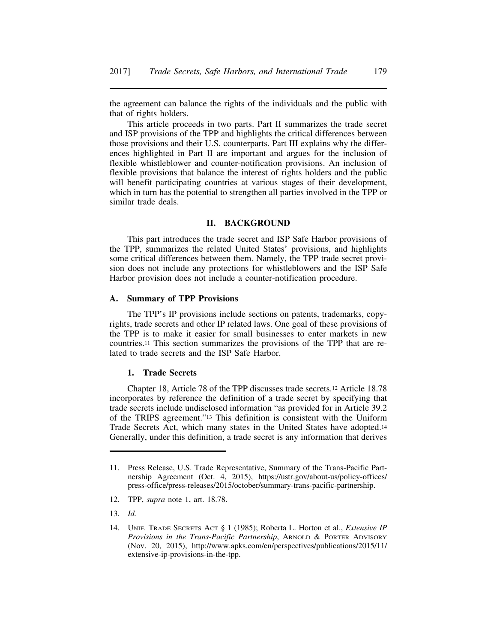the agreement can balance the rights of the individuals and the public with that of rights holders.

This article proceeds in two parts. Part II summarizes the trade secret and ISP provisions of the TPP and highlights the critical differences between those provisions and their U.S. counterparts. Part III explains why the differences highlighted in Part II are important and argues for the inclusion of flexible whistleblower and counter-notification provisions. An inclusion of flexible provisions that balance the interest of rights holders and the public will benefit participating countries at various stages of their development, which in turn has the potential to strengthen all parties involved in the TPP or similar trade deals.

## **II. BACKGROUND**

This part introduces the trade secret and ISP Safe Harbor provisions of the TPP, summarizes the related United States' provisions, and highlights some critical differences between them. Namely, the TPP trade secret provision does not include any protections for whistleblowers and the ISP Safe Harbor provision does not include a counter-notification procedure.

## **A. Summary of TPP Provisions**

The TPP's IP provisions include sections on patents, trademarks, copyrights, trade secrets and other IP related laws. One goal of these provisions of the TPP is to make it easier for small businesses to enter markets in new countries.11 This section summarizes the provisions of the TPP that are related to trade secrets and the ISP Safe Harbor.

#### **1. Trade Secrets**

Chapter 18, Article 78 of the TPP discusses trade secrets.12 Article 18.78 incorporates by reference the definition of a trade secret by specifying that trade secrets include undisclosed information "as provided for in Article 39.2 of the TRIPS agreement."13 This definition is consistent with the Uniform Trade Secrets Act, which many states in the United States have adopted.14 Generally, under this definition, a trade secret is any information that derives

- 12. TPP, *supra* note 1, art. 18.78.
- 13. *Id.*

<sup>11.</sup> Press Release, U.S. Trade Representative, Summary of the Trans-Pacific Partnership Agreement (Oct. 4, 2015), https://ustr.gov/about-us/policy-offices/ press-office/press-releases/2015/october/summary-trans-pacific-partnership.

<sup>14.</sup> UNIF. TRADE SECRETS ACT § 1 (1985); Roberta L. Horton et al., *Extensive IP Provisions in the Trans-Pacific Partnership*, ARNOLD & PORTER ADVISORY (Nov. 20, 2015), http://www.apks.com/en/perspectives/publications/2015/11/ extensive-ip-provisions-in-the-tpp.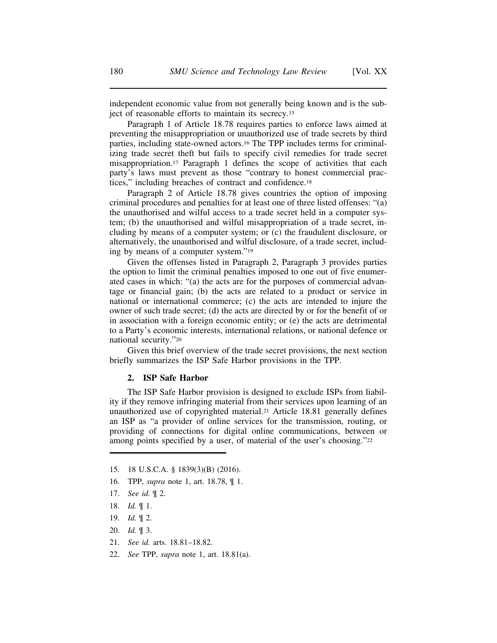independent economic value from not generally being known and is the subject of reasonable efforts to maintain its secrecy.15

Paragraph 1 of Article 18.78 requires parties to enforce laws aimed at preventing the misappropriation or unauthorized use of trade secrets by third parties, including state-owned actors.16 The TPP includes terms for criminalizing trade secret theft but fails to specify civil remedies for trade secret misappropriation.17 Paragraph 1 defines the scope of activities that each party's laws must prevent as those "contrary to honest commercial practices," including breaches of contract and confidence.18

Paragraph 2 of Article 18.78 gives countries the option of imposing criminal procedures and penalties for at least one of three listed offenses: "(a) the unauthorised and wilful access to a trade secret held in a computer system; (b) the unauthorised and wilful misappropriation of a trade secret, including by means of a computer system; or (c) the fraudulent disclosure, or alternatively, the unauthorised and wilful disclosure, of a trade secret, including by means of a computer system."19

Given the offenses listed in Paragraph 2, Paragraph 3 provides parties the option to limit the criminal penalties imposed to one out of five enumerated cases in which: "(a) the acts are for the purposes of commercial advantage or financial gain; (b) the acts are related to a product or service in national or international commerce; (c) the acts are intended to injure the owner of such trade secret; (d) the acts are directed by or for the benefit of or in association with a foreign economic entity; or (e) the acts are detrimental to a Party's economic interests, international relations, or national defence or national security."20

Given this brief overview of the trade secret provisions, the next section briefly summarizes the ISP Safe Harbor provisions in the TPP.

#### **2. ISP Safe Harbor**

The ISP Safe Harbor provision is designed to exclude ISPs from liability if they remove infringing material from their services upon learning of an unauthorized use of copyrighted material.21 Article 18.81 generally defines an ISP as "a provider of online services for the transmission, routing, or providing of connections for digital online communications, between or among points specified by a user, of material of the user's choosing."22

- 15. 18 U.S.C.A. § 1839(3)(B) (2016).
- 16. TPP, *supra* note 1, art. 18.78, ¶ 1.
- 17. *See id.* ¶ 2.
- 18. *Id.* ¶ 1.
- 19. *Id.* ¶ 2.
- 20. *Id.* ¶ 3.
- 21. *See id.* arts. 18.81–18.82.
- 22. *See* TPP, *supra* note 1, art. 18.81(a).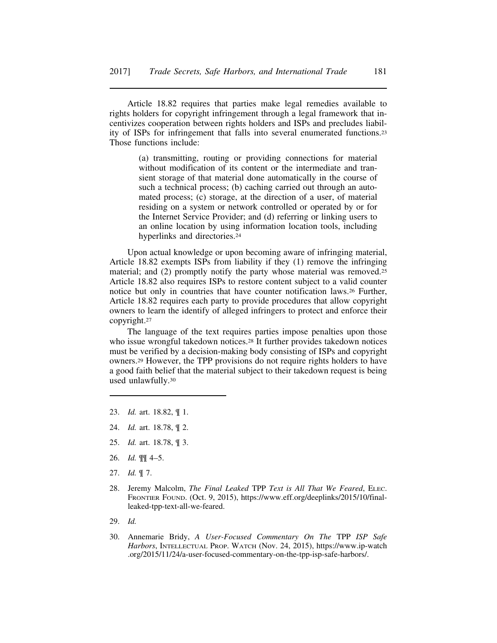Article 18.82 requires that parties make legal remedies available to rights holders for copyright infringement through a legal framework that incentivizes cooperation between rights holders and ISPs and precludes liability of ISPs for infringement that falls into several enumerated functions.23 Those functions include:

> (a) transmitting, routing or providing connections for material without modification of its content or the intermediate and transient storage of that material done automatically in the course of such a technical process; (b) caching carried out through an automated process; (c) storage, at the direction of a user, of material residing on a system or network controlled or operated by or for the Internet Service Provider; and (d) referring or linking users to an online location by using information location tools, including hyperlinks and directories.24

Upon actual knowledge or upon becoming aware of infringing material, Article 18.82 exempts ISPs from liability if they (1) remove the infringing material; and (2) promptly notify the party whose material was removed.25 Article 18.82 also requires ISPs to restore content subject to a valid counter notice but only in countries that have counter notification laws.26 Further, Article 18.82 requires each party to provide procedures that allow copyright owners to learn the identify of alleged infringers to protect and enforce their copyright.27

The language of the text requires parties impose penalties upon those who issue wrongful takedown notices.<sup>28</sup> It further provides takedown notices must be verified by a decision-making body consisting of ISPs and copyright owners.29 However, the TPP provisions do not require rights holders to have a good faith belief that the material subject to their takedown request is being used unlawfully.30

- 23. *Id.* art. 18.82, ¶ 1.
- 24. *Id.* art. 18.78, ¶ 2.
- 25. *Id.* art. 18.78, ¶ 3.
- 26. *Id.* ¶¶ 4–5.
- 27. *Id.* ¶ 7.
- 28. Jeremy Malcolm, *The Final Leaked* TPP *Text is All That We Feared*, ELEC. FRONTIER FOUND. (Oct. 9, 2015), https://www.eff.org/deeplinks/2015/10/finalleaked-tpp-text-all-we-feared.
- 29. *Id.*
- 30. Annemarie Bridy, *A User-Focused Commentary On The* TPP *ISP Safe* Harbors, INTELLECTUAL PROP. WATCH (Nov. 24, 2015), https://www.ip-watch .org/2015/11/24/a-user-focused-commentary-on-the-tpp-isp-safe-harbors/.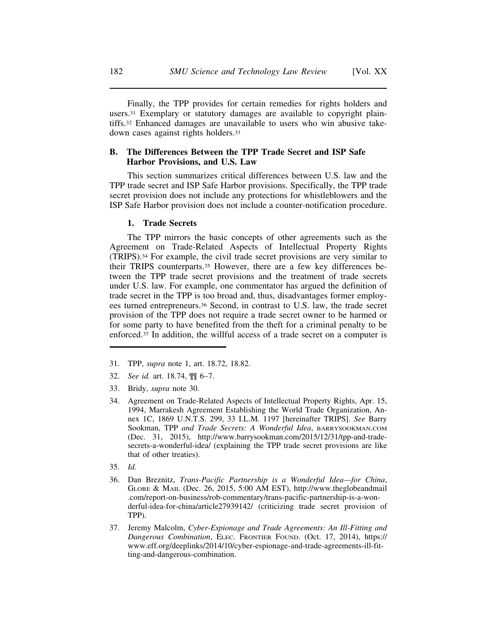Finally, the TPP provides for certain remedies for rights holders and users.31 Exemplary or statutory damages are available to copyright plaintiffs.32 Enhanced damages are unavailable to users who win abusive takedown cases against rights holders.33

## **B. The Differences Between the TPP Trade Secret and ISP Safe Harbor Provisions, and U.S. Law**

This section summarizes critical differences between U.S. law and the TPP trade secret and ISP Safe Harbor provisions. Specifically, the TPP trade secret provision does not include any protections for whistleblowers and the ISP Safe Harbor provision does not include a counter-notification procedure.

## **1. Trade Secrets**

The TPP mirrors the basic concepts of other agreements such as the Agreement on Trade-Related Aspects of Intellectual Property Rights (TRIPS).34 For example, the civil trade secret provisions are very similar to their TRIPS counterparts.35 However, there are a few key differences between the TPP trade secret provisions and the treatment of trade secrets under U.S. law. For example, one commentator has argued the definition of trade secret in the TPP is too broad and, thus, disadvantages former employees turned entrepreneurs.36 Second, in contrast to U.S. law, the trade secret provision of the TPP does not require a trade secret owner to be harmed or for some party to have benefited from the theft for a criminal penalty to be enforced.37 In addition, the willful access of a trade secret on a computer is

- 31. TPP, *supra* note 1, art. 18.72, 18.82.
- 32. *See id.* art. 18.74, ¶¶ 6–7.
- 33. Bridy, *supra* note 30.
- 34. Agreement on Trade-Related Aspects of Intellectual Property Rights, Apr. 15, 1994, Marrakesh Agreement Establishing the World Trade Organization, Annex 1C, 1869 U.N.T.S. 299, 33 I.L.M. 1197 [hereinafter TRIPS]. *See* Barry Sookman, TPP *and Trade Secrets: A Wonderful Idea*, BARRYSOOKMAN.COM (Dec. 31, 2015), http://www.barrysookman.com/2015/12/31/tpp-and-tradesecrets-a-wonderful-idea/ (explaining the TPP trade secret provisions are like that of other treaties).
- 35. *Id.*
- 36. Dan Breznitz, *Trans-Pacific Partnership is a Wonderful Idea—for China*, GLOBE & MAIL (Dec. 26, 2015, 5:00 AM EST), http://www.theglobeandmail .com/report-on-business/rob-commentary/trans-pacific-partnership-is-a-wonderful-idea-for-china/article27939142/ (criticizing trade secret provision of TPP).
- 37. Jeremy Malcolm, *Cyber-Espionage and Trade Agreements: An Ill-Fitting and Dangerous Combination*, ELEC. FRONTIER FOUND. (Oct. 17, 2014), https:// www.eff.org/deeplinks/2014/10/cyber-espionage-and-trade-agreements-ill-fitting-and-dangerous-combination.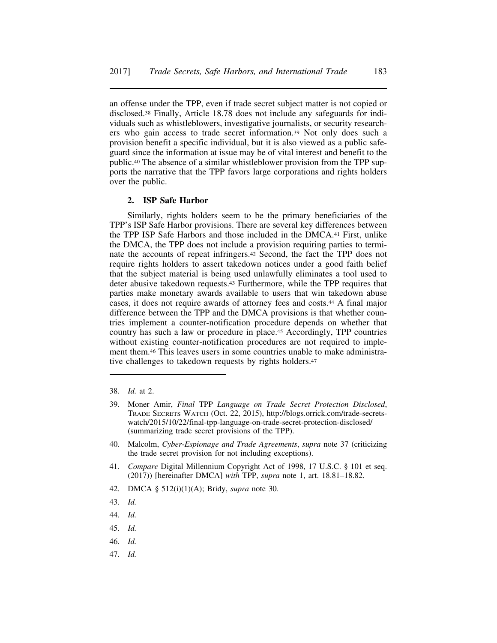an offense under the TPP, even if trade secret subject matter is not copied or disclosed.38 Finally, Article 18.78 does not include any safeguards for individuals such as whistleblowers, investigative journalists, or security researchers who gain access to trade secret information.39 Not only does such a provision benefit a specific individual, but it is also viewed as a public safeguard since the information at issue may be of vital interest and benefit to the public.40 The absence of a similar whistleblower provision from the TPP supports the narrative that the TPP favors large corporations and rights holders over the public.

## **2. ISP Safe Harbor**

Similarly, rights holders seem to be the primary beneficiaries of the TPP's ISP Safe Harbor provisions. There are several key differences between the TPP ISP Safe Harbors and those included in the DMCA.41 First, unlike the DMCA, the TPP does not include a provision requiring parties to terminate the accounts of repeat infringers.42 Second, the fact the TPP does not require rights holders to assert takedown notices under a good faith belief that the subject material is being used unlawfully eliminates a tool used to deter abusive takedown requests.43 Furthermore, while the TPP requires that parties make monetary awards available to users that win takedown abuse cases, it does not require awards of attorney fees and costs.44 A final major difference between the TPP and the DMCA provisions is that whether countries implement a counter-notification procedure depends on whether that country has such a law or procedure in place.45 Accordingly, TPP countries without existing counter-notification procedures are not required to implement them.46 This leaves users in some countries unable to make administrative challenges to takedown requests by rights holders.47

- 38. *Id.* at 2.
- 39. Moner Amir, *Final* TPP *Language on Trade Secret Protection Disclosed*, TRADE SECRETS WATCH (Oct. 22, 2015), http://blogs.orrick.com/trade-secretswatch/2015/10/22/final-tpp-language-on-trade-secret-protection-disclosed/ (summarizing trade secret provisions of the TPP).
- 40. Malcolm, *Cyber-Espionage and Trade Agreements*, *supra* note 37 (criticizing the trade secret provision for not including exceptions).
- 41. *Compare* Digital Millennium Copyright Act of 1998, 17 U.S.C. § 101 et seq. (2017)) [hereinafter DMCA] *with* TPP, *supra* note 1, art. 18.81–18.82.
- 42. DMCA § 512(i)(1)(A); Bridy, *supra* note 30.
- 43. *Id.*
- 44. *Id.*
- 45. *Id.*
- 46. *Id.*
- 47. *Id.*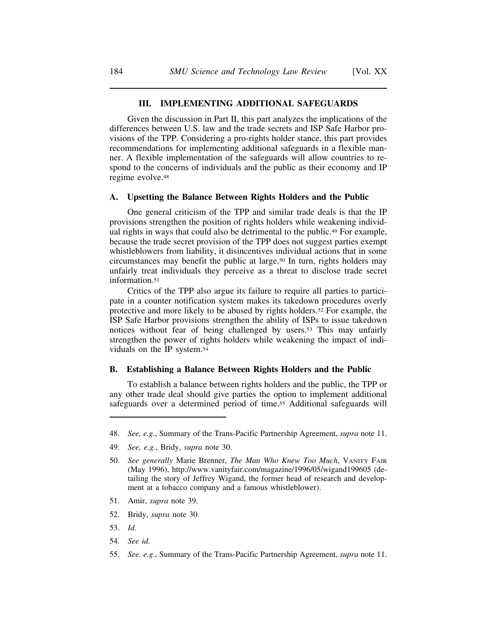## **III. IMPLEMENTING ADDITIONAL SAFEGUARDS**

Given the discussion in Part II, this part analyzes the implications of the differences between U.S. law and the trade secrets and ISP Safe Harbor provisions of the TPP. Considering a pro-rights holder stance, this part provides recommendations for implementing additional safeguards in a flexible manner. A flexible implementation of the safeguards will allow countries to respond to the concerns of individuals and the public as their economy and IP regime evolve.48

#### **A. Upsetting the Balance Between Rights Holders and the Public**

One general criticism of the TPP and similar trade deals is that the IP provisions strengthen the position of rights holders while weakening individual rights in ways that could also be detrimental to the public.49 For example, because the trade secret provision of the TPP does not suggest parties exempt whistleblowers from liability, it disincentives individual actions that in some circumstances may benefit the public at large.50 In turn, rights holders may unfairly treat individuals they perceive as a threat to disclose trade secret information.<sup>51</sup>

Critics of the TPP also argue its failure to require all parties to participate in a counter notification system makes its takedown procedures overly protective and more likely to be abused by rights holders.52 For example, the ISP Safe Harbor provisions strengthen the ability of ISPs to issue takedown notices without fear of being challenged by users.53 This may unfairly strengthen the power of rights holders while weakening the impact of individuals on the IP system.54

#### **B. Establishing a Balance Between Rights Holders and the Public**

To establish a balance between rights holders and the public, the TPP or any other trade deal should give parties the option to implement additional safeguards over a determined period of time.55 Additional safeguards will

- 51. Amir, *supra* note 39.
- 52. Bridy, *supra* note 30.
- 53. *Id.*
- 54. *See id.*
- 55. *See, e.g.*, Summary of the Trans-Pacific Partnership Agreement, *supra* note 11.

<sup>48.</sup> *See, e.g.*, Summary of the Trans-Pacific Partnership Agreement, *supra* note 11.

<sup>49.</sup> *See, e.g.*, Bridy, *supra* note 30.

<sup>50.</sup> *See generally* Marie Brenner, *The Man Who Knew Too Much*, VANITY FAIR (May 1996), http://www.vanityfair.com/magazine/1996/05/wigand199605 (detailing the story of Jeffrey Wigand, the former head of research and development at a tobacco company and a famous whistleblower).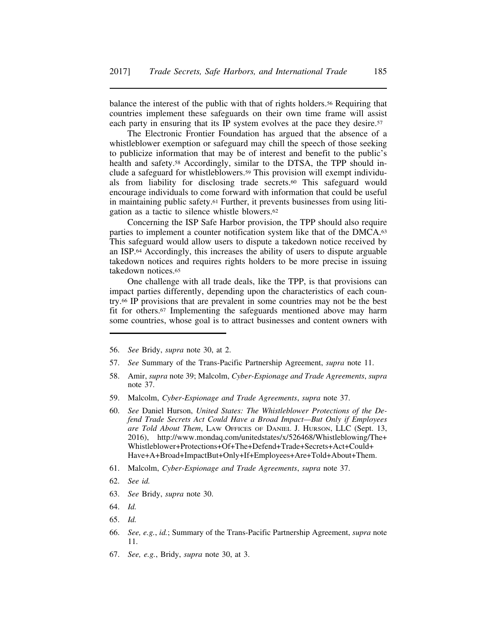balance the interest of the public with that of rights holders.56 Requiring that countries implement these safeguards on their own time frame will assist each party in ensuring that its IP system evolves at the pace they desire.<sup>57</sup>

The Electronic Frontier Foundation has argued that the absence of a whistleblower exemption or safeguard may chill the speech of those seeking to publicize information that may be of interest and benefit to the public's health and safety.58 Accordingly, similar to the DTSA, the TPP should include a safeguard for whistleblowers.59 This provision will exempt individuals from liability for disclosing trade secrets.60 This safeguard would encourage individuals to come forward with information that could be useful in maintaining public safety.61 Further, it prevents businesses from using litigation as a tactic to silence whistle blowers.62

Concerning the ISP Safe Harbor provision, the TPP should also require parties to implement a counter notification system like that of the DMCA.<sup>63</sup> This safeguard would allow users to dispute a takedown notice received by an ISP.64 Accordingly, this increases the ability of users to dispute arguable takedown notices and requires rights holders to be more precise in issuing takedown notices.65

One challenge with all trade deals, like the TPP, is that provisions can impact parties differently, depending upon the characteristics of each country.66 IP provisions that are prevalent in some countries may not be the best fit for others.67 Implementing the safeguards mentioned above may harm some countries, whose goal is to attract businesses and content owners with

- 56. *See* Bridy, *supra* note 30, at 2.
- 57. *See* Summary of the Trans-Pacific Partnership Agreement, *supra* note 11.
- 58. Amir, *supra* note 39; Malcolm, *Cyber-Espionage and Trade Agreements*, *supra* note 37.
- 59. Malcolm, *Cyber-Espionage and Trade Agreements*, *supra* note 37.
- 60. *See* Daniel Hurson, *United States: The Whistleblower Protections of the Defend Trade Secrets Act Could Have a Broad Impact—But Only if Employees are Told About Them*, LAW OFFICES OF DANIEL J. HURSON, LLC (Sept. 13, 2016), http://www.mondaq.com/unitedstates/x/526468/Whistleblowing/The+ Whistleblower+Protections+Of+The+Defend+Trade+Secrets+Act+Could+ Have+A+Broad+ImpactBut+Only+If+Employees+Are+Told+About+Them.
- 61. Malcolm, *Cyber-Espionage and Trade Agreements*, *supra* note 37.
- 62. *See id.*
- 63. *See* Bridy, *supra* note 30.
- 64. *Id.*
- 65. *Id.*
- 66. *See, e.g.*, *id.*; Summary of the Trans-Pacific Partnership Agreement, *supra* note 11.
- 67. *See, e.g.*, Bridy, *supra* note 30, at 3.